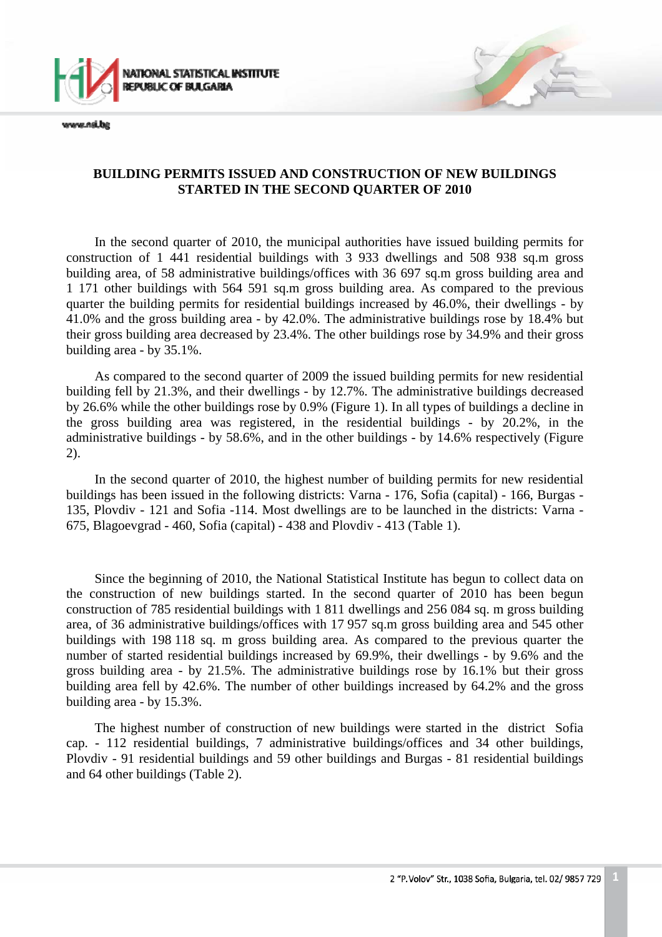

www.nsi.ba

## **BUILDING PERMITS ISSUED AND CONSTRUCTION OF NEW BUILDINGS STARTED IN THE SECOND QUARTER OF 2010**

In the second quarter of 2010, the municipal authorities have issued building permits for construction of 1 441 residential buildings with 3 933 dwellings and 508 938 sq.m gross building area, of 58 administrative buildings/offices with 36 697 sq.m gross building area and 1 171 other buildings with 564 591 sq.m gross building area. As compared to the previous quarter the building permits for residential buildings increased by 46.0%, their dwellings - by 41.0% and the gross building area - by 42.0%. The administrative buildings rose by 18.4% but their gross building area decreased by 23.4%. The other buildings rose by 34.9% and their gross building area - by 35.1%.

As compared to the second quarter of 2009 the issued building permits for new residential building fell by 21.3%, and their dwellings - by 12.7%. The administrative buildings decreased by 26.6% while the other buildings rose by 0.9% (Figure 1). In all types of buildings a decline in the gross building area was registered, in the residential buildings - by 20.2%, in the administrative buildings - by 58.6%, and in the other buildings - by 14.6% respectively (Figure 2).

In the second quarter of 2010, the highest number of building permits for new residential buildings has been issued in the following districts: Varna - 176, Sofia (capital) - 166, Burgas - 135, Plovdiv - 121 and Sofia -114. Most dwellings are to be launched in the districts: Varna - 675, Blagoevgrad - 460, Sofia (capital) - 438 and Plovdiv - 413 (Table 1).

Since the beginning of 2010, the National Statistical Institute has begun to collect data on the construction of new buildings started. In the second quarter of 2010 has been begun construction of 785 residential buildings with 1 811 dwellings and 256 084 sq. m gross building area, of 36 administrative buildings/offices with 17 957 sq.m gross building area and 545 other buildings with 198 118 sq. m gross building area. As compared to the previous quarter the number of started residential buildings increased by 69.9%, their dwellings - by 9.6% and the gross building area - by 21.5%. The administrative buildings rose by 16.1% but their gross building area fell by 42.6%. The number of other buildings increased by 64.2% and the gross building area - by 15.3%.

The highest number of construction of new buildings were started in the district Sofia cap. - 112 residential buildings, 7 administrative buildings/offices and 34 other buildings, Plovdiv - 91 residential buildings and 59 other buildings and Burgas - 81 residential buildings and 64 other buildings (Table 2).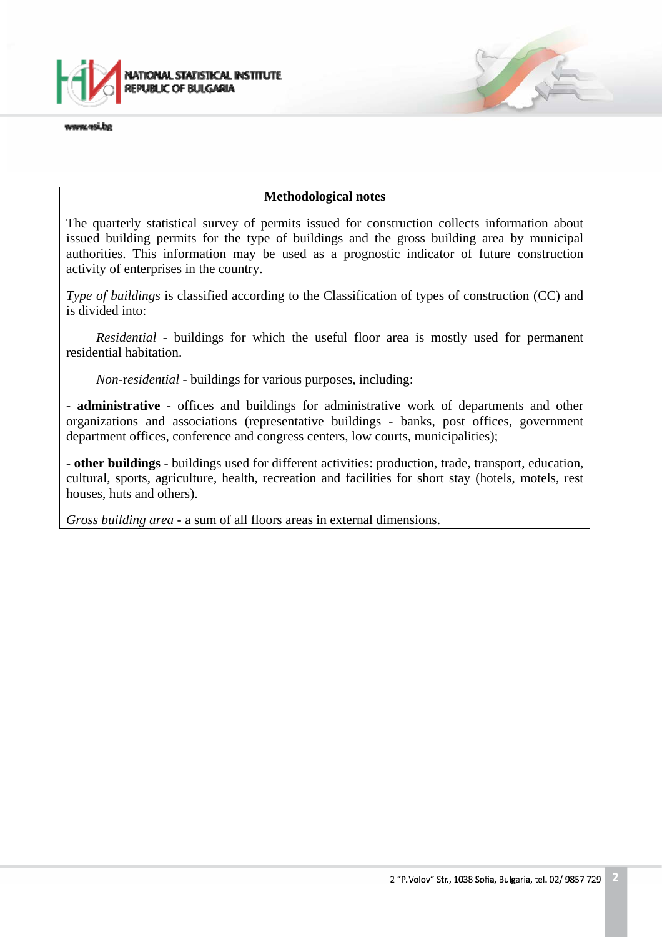

www.nsi.ba

### **Methodological notes**

The quarterly statistical survey of permits issued for construction collects information about issued building permits for the type of buildings and the gross building area by municipal authorities. This information may be used as a prognostic indicator of future construction activity of enterprises in the country.

*Type of buildings* is classified according to the Classification of types of construction (CC) and is divided into:

*Residential* - buildings for which the useful floor area is mostly used for permanent residential habitation.

*Non*-r*esidential -* buildings for various purposes, including:

- **administrative** - offices and buildings for administrative work of departments and other organizations and associations (representative buildings - banks, post offices, government department offices, conference and congress centers, low courts, municipalities);

**- other buildings** - buildings used for different activities: production, trade, transport, education, cultural, sports, agriculture, health, recreation and facilities for short stay (hotels, motels, rest houses, huts and others).

*Gross building area* - a sum of all floors areas in external dimensions.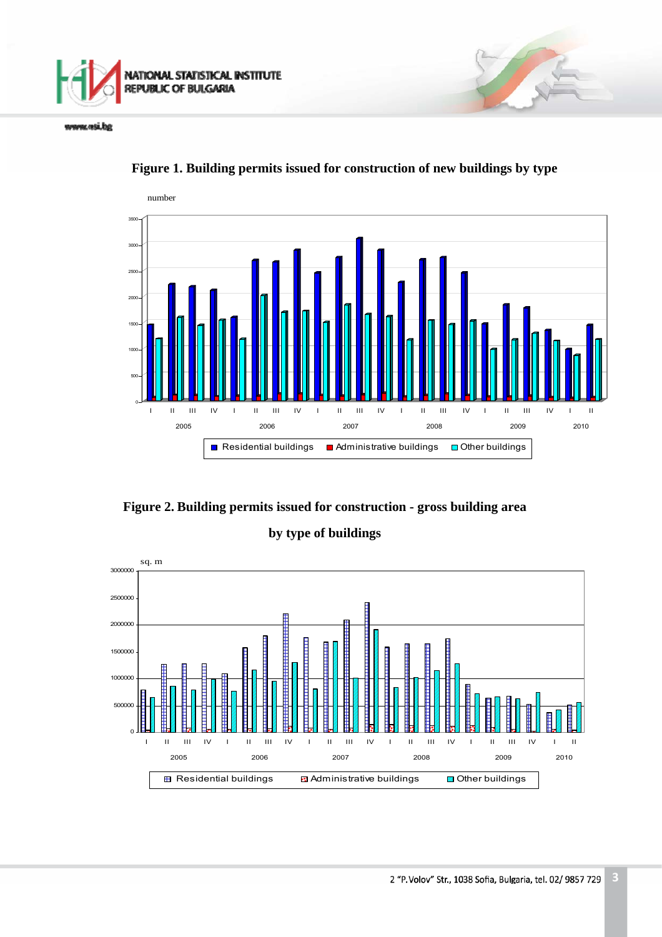

www.nsi.bg



**Figure 1. Building permits issued for construction of new buildings by type**

**Figure 2. Building permits issued for construction - gross building area** 

## **by type of buildings**

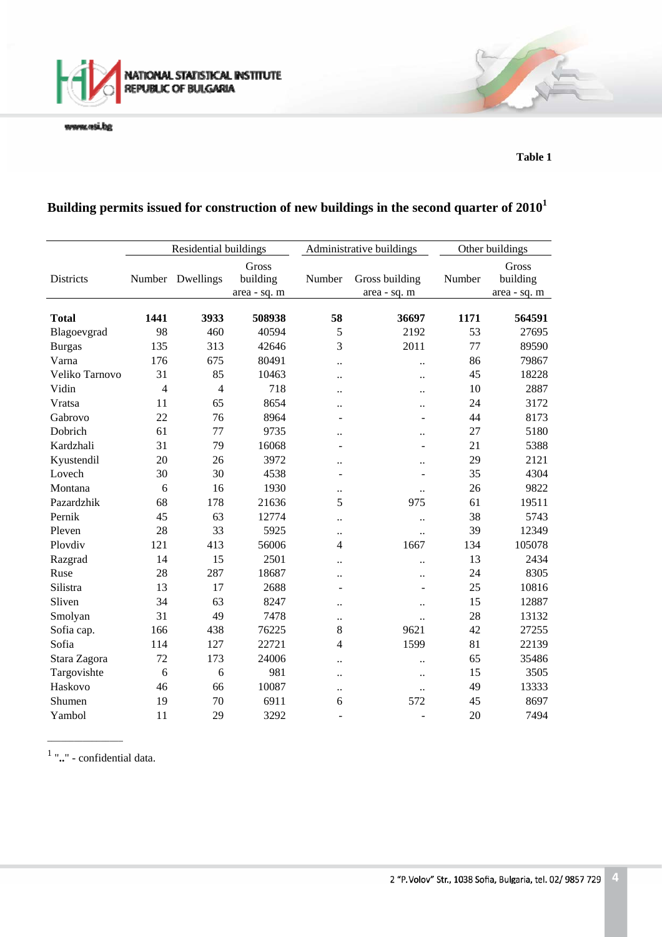

www.wsi.bg

**Table 1** 

# **Building permits issued for construction of new buildings in the second quarter of 20101**

|                | Residential buildings |                |                                   |                      | Administrative buildings       | Other buildings |                                   |
|----------------|-----------------------|----------------|-----------------------------------|----------------------|--------------------------------|-----------------|-----------------------------------|
| Districts      | Number                | Dwellings      | Gross<br>building<br>area - sq. m | Number               | Gross building<br>area - sq. m | Number          | Gross<br>building<br>area - sq. m |
| <b>Total</b>   | 1441                  | 3933           | 508938                            | 58                   | 36697                          | 1171            | 564591                            |
| Blagoevgrad    | 98                    | 460            | 40594                             | 5                    | 2192                           | 53              | 27695                             |
| <b>Burgas</b>  | 135                   | 313            | 42646                             | 3                    | 2011                           | 77              | 89590                             |
| Varna          | 176                   | 675            | 80491                             | $\ddot{\phantom{a}}$ | $\ddot{\phantom{a}}$           | 86              | 79867                             |
| Veliko Tarnovo | 31                    | 85             | 10463                             | $\ddot{\phantom{a}}$ | $\ddot{\phantom{a}}$           | 45              | 18228                             |
| Vidin          | $\overline{4}$        | $\overline{4}$ | 718                               | $\ddot{\phantom{0}}$ | $\ddot{\phantom{a}}$           | 10              | 2887                              |
| Vratsa         | 11                    | 65             | 8654                              | $\ddot{\phantom{0}}$ | $\ddot{\phantom{a}}$           | 24              | 3172                              |
| Gabrovo        | 22                    | 76             | 8964                              | ÷,                   | ÷                              | 44              | 8173                              |
| Dobrich        | 61                    | 77             | 9735                              | $\ddot{\phantom{0}}$ | $\ddot{\phantom{a}}$           | 27              | 5180                              |
| Kardzhali      | 31                    | 79             | 16068                             |                      |                                | 21              | 5388                              |
| Kyustendil     | 20                    | 26             | 3972                              | $\ddot{\phantom{a}}$ | $\ddot{\phantom{a}}$           | 29              | 2121                              |
| Lovech         | 30                    | 30             | 4538                              | ۰                    | $\blacksquare$                 | 35              | 4304                              |
| Montana        | 6                     | 16             | 1930                              | $\ddot{\phantom{0}}$ | $\ddot{\phantom{a}}$           | 26              | 9822                              |
| Pazardzhik     | 68                    | 178            | 21636                             | 5                    | 975                            | 61              | 19511                             |
| Pernik         | 45                    | 63             | 12774                             | $\ddot{\phantom{a}}$ | $\ddot{\phantom{a}}$           | 38              | 5743                              |
| Pleven         | 28                    | 33             | 5925                              | $\ddot{\phantom{0}}$ | $\ddot{\phantom{a}}$           | 39              | 12349                             |
| Plovdiv        | 121                   | 413            | 56006                             | 4                    | 1667                           | 134             | 105078                            |
| Razgrad        | 14                    | 15             | 2501                              | $\ddot{\phantom{0}}$ | $\ddot{\phantom{a}}$           | 13              | 2434                              |
| Ruse           | 28                    | 287            | 18687                             | $\ddot{\phantom{a}}$ | $\ddot{\phantom{a}}$           | 24              | 8305                              |
| Silistra       | 13                    | 17             | 2688                              | $\overline{a}$       | ÷                              | 25              | 10816                             |
| Sliven         | 34                    | 63             | 8247                              | $\ddot{\phantom{0}}$ | $\ddot{\phantom{0}}$           | 15              | 12887                             |
| Smolyan        | 31                    | 49             | 7478                              |                      | $\ddot{\phantom{a}}$           | 28              | 13132                             |
| Sofia cap.     | 166                   | 438            | 76225                             | 8                    | 9621                           | 42              | 27255                             |
| Sofia          | 114                   | 127            | 22721                             | 4                    | 1599                           | 81              | 22139                             |
| Stara Zagora   | 72                    | 173            | 24006                             | $\ddot{\phantom{a}}$ | $\ddot{\phantom{a}}$           | 65              | 35486                             |
| Targovishte    | 6                     | 6              | 981                               | $\ddot{\phantom{0}}$ | $\ddot{\phantom{a}}$           | 15              | 3505                              |
| Haskovo        | 46                    | 66             | 10087                             | $\ddot{\phantom{0}}$ | $\ddot{\phantom{a}}$           | 49              | 13333                             |
| Shumen         | 19                    | 70             | 6911                              | 6                    | 572                            | 45              | 8697                              |
| Yambol         | 11                    | 29             | 3292                              |                      | L,                             | 20              | 7494                              |

1 "**..**" - confidential data.

\_\_\_\_\_\_\_\_\_\_\_\_\_\_\_\_\_